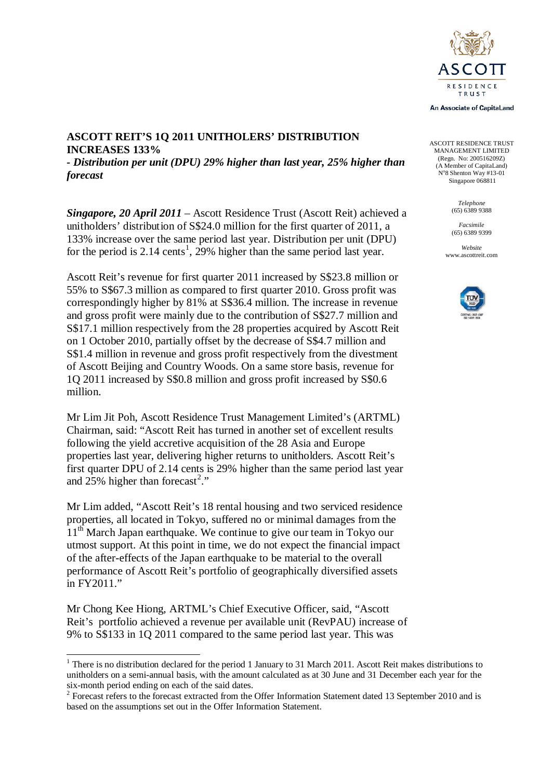

An Associate of CapitaLand

ASCOTT RESIDENCE TRUST MANAGEMENT LIMITED (Regn. No: 200516209Z) (A Member of CapitaLand) N°8 Shenton Way #13-01 Singapore 068811

> *Telephone* (65) 6389 9388

*Facsimile* (65) 6389 9399

*Website* www.ascottreit.com



#### **ASCOTT REIT'S 1Q 2011 UNITHOLERS' DISTRIBUTION INCREASES 133%**

*- Distribution per unit (DPU) 29% higher than last year, 25% higher than forecast*

*Singapore, 20 April 2011* – Ascott Residence Trust (Ascott Reit) achieved a unitholders' distribution of S\$24.0 million for the first quarter of 2011, a 133% increase over the same period last year. Distribution per unit (DPU) for the period is 2.[1](#page-0-0)4 cents<sup>1</sup>, 29% higher than the same period last year.

Ascott Reit's revenue for first quarter 2011 increased by S\$23.8 million or 55% to S\$67.3 million as compared to first quarter 2010. Gross profit was correspondingly higher by 81% at S\$36.4 million. The increase in revenue and gross profit were mainly due to the contribution of S\$27.7 million and S\$17.1 million respectively from the 28 properties acquired by Ascott Reit on 1 October 2010, partially offset by the decrease of S\$4.7 million and S\$1.4 million in revenue and gross profit respectively from the divestment of Ascott Beijing and Country Woods. On a same store basis, revenue for 1Q 2011 increased by S\$0.8 million and gross profit increased by S\$0.6 million.

Mr Lim Jit Poh, Ascott Residence Trust Management Limited's (ARTML) Chairman, said: "Ascott Reit has turned in another set of excellent results following the yield accretive acquisition of the 28 Asia and Europe properties last year, delivering higher returns to unitholders. Ascott Reit's first quarter DPU of 2.14 cents is 29% higher than the same period last year and  $25\%$  $25\%$  higher than forecast<sup>2</sup>."

Mr Lim added, "Ascott Reit's 18 rental housing and two serviced residence properties, all located in Tokyo, suffered no or minimal damages from the  $11<sup>th</sup>$  March Japan earthquake. We continue to give our team in Tokyo our utmost support. At this point in time, we do not expect the financial impact of the after-effects of the Japan earthquake to be material to the overall performance of Ascott Reit's portfolio of geographically diversified assets in FY2011."

Mr Chong Kee Hiong, ARTML's Chief Executive Officer, said, "Ascott Reit's portfolio achieved a revenue per available unit (RevPAU) increase of 9% to S\$133 in 1Q 2011 compared to the same period last year. This was

<span id="page-0-0"></span><sup>&</sup>lt;sup>1</sup> There is no distribution declared for the period 1 January to 31 March 2011. Ascott Reit makes distributions to unitholders on a semi-annual basis, with the amount calculated as at 30 June and 31 December each year for the

<span id="page-0-1"></span>six-month period ending on each of the said dates.<br><sup>2</sup> Forecast refers to the forecast extracted from the Offer Information Statement dated 13 September 2010 and is based on the assumptions set out in the Offer Information Statement.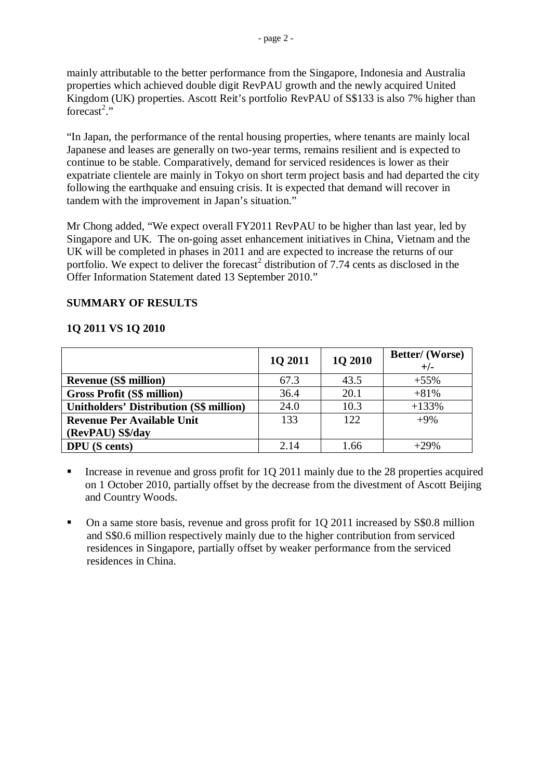mainly attributable to the better performance from the Singapore, Indonesia and Australia properties which achieved double digit RevPAU growth and the newly acquired United Kingdom (UK) properties. Ascott Reit's portfolio RevPAU of S\$133 is also 7% higher than forecast<sup>2</sup>."

"In Japan, the performance of the rental housing properties, where tenants are mainly local Japanese and leases are generally on two-year terms, remains resilient and is expected to continue to be stable. Comparatively, demand for serviced residences is lower as their expatriate clientele are mainly in Tokyo on short term project basis and had departed the city following the earthquake and ensuing crisis. It is expected that demand will recover in tandem with the improvement in Japan's situation."

Mr Chong added, "We expect overall FY2011 RevPAU to be higher than last year, led by Singapore and UK. The on-going asset enhancement initiatives in China, Vietnam and the UK will be completed in phases in 2011 and are expected to increase the returns of our portfolio. We expect to deliver the forecast<sup>2</sup> distribution of 7.74 cents as disclosed in the Offer Information Statement dated 13 September 2010."

# **SUMMARY OF RESULTS**

# **1Q 2011 VS 1Q 2010**

|                                                | 10 2011 | 1Q 2010 | Better/ (Worse)<br>$+/-$ |
|------------------------------------------------|---------|---------|--------------------------|
| <b>Revenue (S\$ million)</b>                   | 67.3    | 43.5    | $+55%$                   |
| <b>Gross Profit (S\$ million)</b>              | 36.4    | 20.1    | $+81%$                   |
| <b>Unitholders' Distribution (S\$ million)</b> | 24.0    | 10.3    | $+133%$                  |
| <b>Revenue Per Available Unit</b>              | 133     | 122     | $+9\%$                   |
| (RevPAU) S\$/day                               |         |         |                          |
| <b>DPU</b> (S cents)                           | 2.14    | 1.66    | $+29%$                   |

Increase in revenue and gross profit for 1Q 2011 mainly due to the 28 properties acquired on 1 October 2010, partially offset by the decrease from the divestment of Ascott Beijing and Country Woods.

• On a same store basis, revenue and gross profit for 1Q 2011 increased by S\$0.8 million and S\$0.6 million respectively mainly due to the higher contribution from serviced residences in Singapore, partially offset by weaker performance from the serviced residences in China.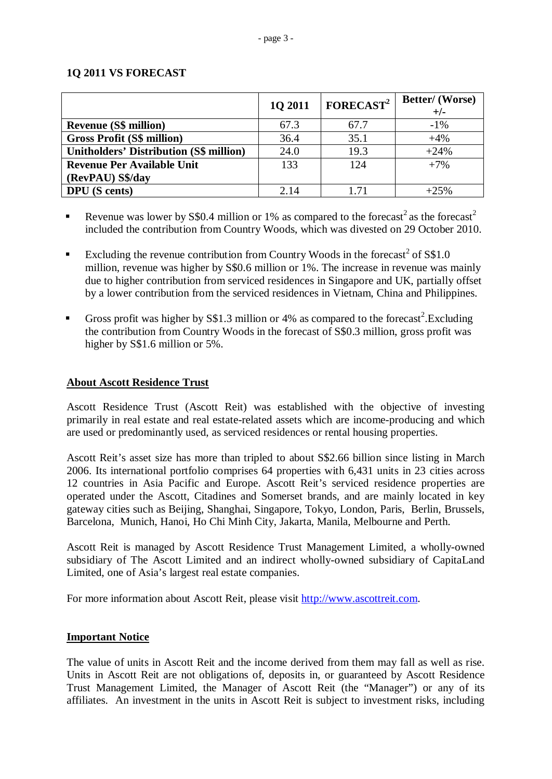## **1Q 2011 VS FORECAST**

|                                                | 1Q 2011 | FORECAST <sup>2</sup> | <b>Better/</b> (Worse)<br>$+/-$ |
|------------------------------------------------|---------|-----------------------|---------------------------------|
| <b>Revenue (S\$ million)</b>                   | 67.3    | 67.7                  | $-1\%$                          |
| <b>Gross Profit (S\$ million)</b>              | 36.4    | 35.1                  | $+4%$                           |
| <b>Unitholders' Distribution (S\$ million)</b> | 24.0    | 19.3                  | $+24%$                          |
| <b>Revenue Per Available Unit</b>              | 133     | 124                   | $+7%$                           |
| (RevPAU) S\$/day                               |         |                       |                                 |
| <b>DPU</b> (S cents)                           | 2.14    | 1.71                  | $+25%$                          |

- Revenue was lower by S\$0.4 million or 1% as compared to the forecast<sup>2</sup> as the forecast<sup>2</sup> included the contribution from Country Woods, which was divested on 29 October 2010.
- Excluding the revenue contribution from Country Woods in the forecast<sup>2</sup> of  $S$1.0$ million, revenue was higher by S\$0.6 million or 1%. The increase in revenue was mainly due to higher contribution from serviced residences in Singapore and UK, partially offset by a lower contribution from the serviced residences in Vietnam, China and Philippines.
- Gross profit was higher by S\$1.3 million or 4% as compared to the forecast<sup>2</sup>. Excluding the contribution from Country Woods in the forecast of S\$0.3 million, gross profit was higher by S\$1.6 million or 5%.

### **About Ascott Residence Trust**

Ascott Residence Trust (Ascott Reit) was established with the objective of investing primarily in real estate and real estate-related assets which are income-producing and which are used or predominantly used, as serviced residences or rental housing properties.

Ascott Reit's asset size has more than tripled to about S\$2.66 billion since listing in March 2006. Its international portfolio comprises 64 properties with 6,431 units in 23 cities across 12 countries in Asia Pacific and Europe. Ascott Reit's serviced residence properties are operated under the Ascott, Citadines and Somerset brands, and are mainly located in key gateway cities such as Beijing, Shanghai, Singapore, Tokyo, London, Paris, Berlin, Brussels, Barcelona, Munich, Hanoi, Ho Chi Minh City, Jakarta, Manila, Melbourne and Perth.

Ascott Reit is managed by Ascott Residence Trust Management Limited, a wholly-owned subsidiary of The Ascott Limited and an indirect wholly-owned subsidiary of CapitaLand Limited, one of Asia's largest real estate companies.

For more information about Ascott Reit, please visit [http://www.ascottreit.com.](http://www.ascottreit.com/)

## **Important Notice**

The value of units in Ascott Reit and the income derived from them may fall as well as rise. Units in Ascott Reit are not obligations of, deposits in, or guaranteed by Ascott Residence Trust Management Limited, the Manager of Ascott Reit (the "Manager") or any of its affiliates. An investment in the units in Ascott Reit is subject to investment risks, including